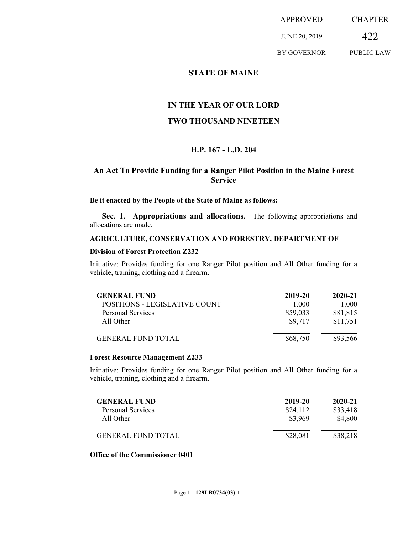APPROVED JUNE 20, 2019 BY GOVERNOR CHAPTER 422 PUBLIC LAW

## **STATE OF MAINE**

# **IN THE YEAR OF OUR LORD**

**\_\_\_\_\_**

# **TWO THOUSAND NINETEEN**

# **\_\_\_\_\_ H.P. 167 - L.D. 204**

# **An Act To Provide Funding for a Ranger Pilot Position in the Maine Forest Service**

## **Be it enacted by the People of the State of Maine as follows:**

**Sec. 1. Appropriations and allocations.** The following appropriations and allocations are made.

#### **AGRICULTURE, CONSERVATION AND FORESTRY, DEPARTMENT OF**

#### **Division of Forest Protection Z232**

Initiative: Provides funding for one Ranger Pilot position and All Other funding for a vehicle, training, clothing and a firearm.

| <b>GENERAL FUND</b>           | 2019-20  | 2020-21  |
|-------------------------------|----------|----------|
| POSITIONS - LEGISLATIVE COUNT | 1 000    | 1.000    |
| <b>Personal Services</b>      | \$59,033 | \$81,815 |
| All Other                     | \$9.717  | \$11,751 |
| <b>GENERAL FUND TOTAL</b>     | \$68,750 | \$93,566 |

#### **Forest Resource Management Z233**

Initiative: Provides funding for one Ranger Pilot position and All Other funding for a vehicle, training, clothing and a firearm.

| <b>GENERAL FUND</b>       | 2019-20  | 2020-21  |
|---------------------------|----------|----------|
| <b>Personal Services</b>  | \$24,112 | \$33,418 |
| All Other                 | \$3,969  | \$4,800  |
| <b>GENERAL FUND TOTAL</b> | \$28,081 | \$38,218 |

### **Office of the Commissioner 0401**